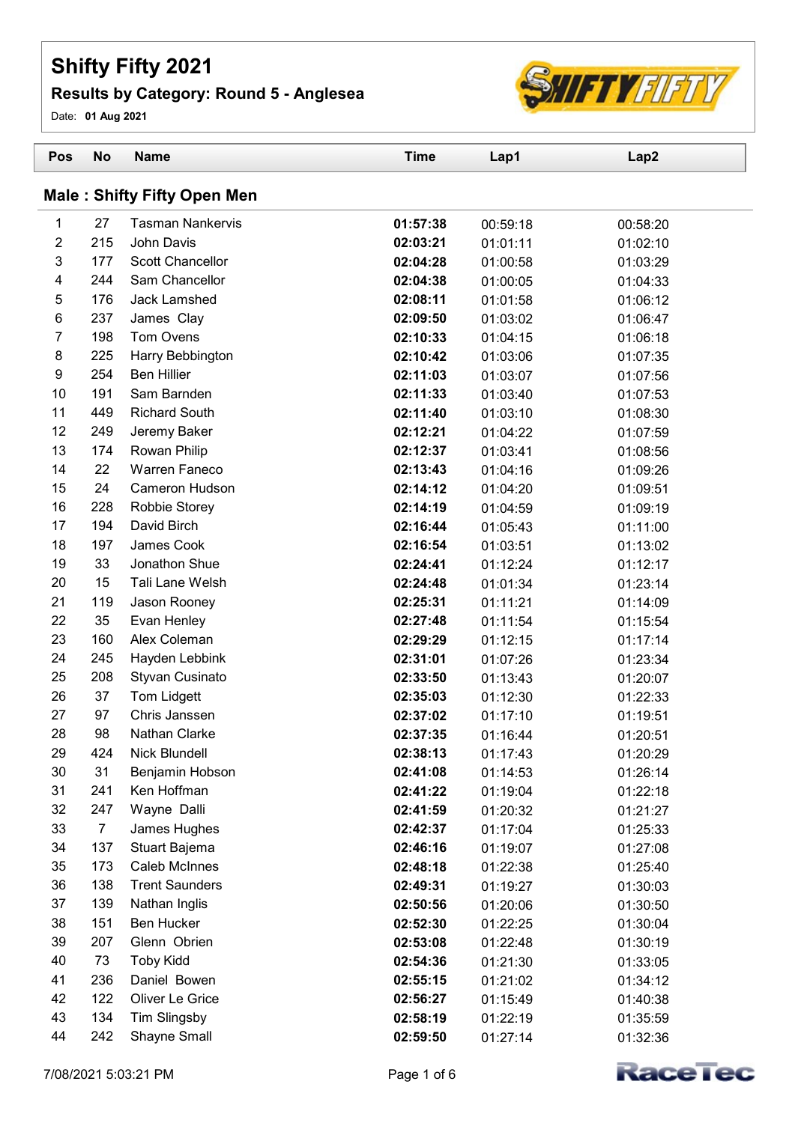## Shifty Fifty 2021

## Results by Category: Round 5 - Anglesea



Date: 01 Aug 2021

| Pos                                | <b>No</b>      | <b>Name</b>                          | <b>Time</b>          | Lap1                 | Lap2                 |  |
|------------------------------------|----------------|--------------------------------------|----------------------|----------------------|----------------------|--|
| <b>Male: Shifty Fifty Open Men</b> |                |                                      |                      |                      |                      |  |
| 1                                  | 27             | <b>Tasman Nankervis</b>              | 01:57:38             | 00:59:18             | 00:58:20             |  |
| $\overline{2}$                     | 215            | John Davis                           | 02:03:21             | 01:01:11             | 01:02:10             |  |
| $\mathbf 3$                        | 177            | Scott Chancellor                     | 02:04:28             | 01:00:58             | 01:03:29             |  |
| 4                                  | 244            | Sam Chancellor                       | 02:04:38             | 01:00:05             | 01:04:33             |  |
| $\mathbf 5$                        | 176            | Jack Lamshed                         | 02:08:11             | 01:01:58             | 01:06:12             |  |
| 6                                  | 237            | James Clay                           | 02:09:50             | 01:03:02             | 01:06:47             |  |
| $\overline{7}$                     | 198            | Tom Ovens                            | 02:10:33             | 01:04:15             | 01:06:18             |  |
| $\bf 8$                            | 225            | Harry Bebbington                     | 02:10:42             | 01:03:06             | 01:07:35             |  |
| 9                                  | 254            | <b>Ben Hillier</b>                   | 02:11:03             | 01:03:07             | 01:07:56             |  |
| 10                                 | 191            | Sam Barnden                          | 02:11:33             | 01:03:40             | 01:07:53             |  |
| 11                                 | 449            | <b>Richard South</b>                 | 02:11:40             | 01:03:10             | 01:08:30             |  |
| 12                                 | 249            | Jeremy Baker                         | 02:12:21             | 01:04:22             | 01:07:59             |  |
| 13<br>14                           | 174<br>22      | Rowan Philip<br><b>Warren Faneco</b> | 02:12:37<br>02:13:43 | 01:03:41             | 01:08:56             |  |
| 15                                 | 24             | Cameron Hudson                       | 02:14:12             | 01:04:16<br>01:04:20 | 01:09:26<br>01:09:51 |  |
| 16                                 | 228            | Robbie Storey                        | 02:14:19             | 01:04:59             | 01:09:19             |  |
| 17                                 | 194            | David Birch                          | 02:16:44             | 01:05:43             | 01:11:00             |  |
| 18                                 | 197            | James Cook                           | 02:16:54             | 01:03:51             | 01:13:02             |  |
| 19                                 | 33             | Jonathon Shue                        | 02:24:41             | 01:12:24             | 01:12:17             |  |
| 20                                 | 15             | Tali Lane Welsh                      | 02:24:48             | 01:01:34             | 01:23:14             |  |
| 21                                 | 119            | Jason Rooney                         | 02:25:31             | 01:11:21             | 01:14:09             |  |
| 22                                 | 35             | Evan Henley                          | 02:27:48             | 01:11:54             | 01:15:54             |  |
| 23                                 | 160            | Alex Coleman                         | 02:29:29             | 01:12:15             | 01:17:14             |  |
| 24                                 | 245            | Hayden Lebbink                       | 02:31:01             | 01:07:26             | 01:23:34             |  |
| 25                                 | 208            | Styvan Cusinato                      | 02:33:50             | 01:13:43             | 01:20:07             |  |
| 26                                 | 37             | Tom Lidgett                          | 02:35:03             | 01:12:30             | 01:22:33             |  |
| 27                                 | 97             | Chris Janssen                        | 02:37:02             | 01:17:10             | 01:19:51             |  |
| 28                                 | 98             | Nathan Clarke                        | 02:37:35             | 01:16:44             | 01:20:51             |  |
| 29                                 | 424            | Nick Blundell                        | 02:38:13             | 01:17:43             | 01:20:29             |  |
| 30                                 | 31             | Benjamin Hobson                      | 02:41:08             | 01:14:53             | 01:26:14             |  |
| 31                                 | 241            | Ken Hoffman                          | 02:41:22             | 01:19:04             | 01:22:18             |  |
| 32                                 | 247            | Wayne Dalli                          | 02:41:59             | 01:20:32             | 01:21:27             |  |
| 33                                 | $\overline{7}$ | James Hughes                         | 02:42:37             | 01:17:04             | 01:25:33             |  |
| 34                                 | 137            | Stuart Bajema<br>Caleb McInnes       | 02:46:16             | 01:19:07             | 01:27:08             |  |
| 35<br>36                           | 173<br>138     | <b>Trent Saunders</b>                | 02:48:18             | 01:22:38             | 01:25:40             |  |
| 37                                 | 139            | Nathan Inglis                        | 02:49:31<br>02:50:56 | 01:19:27             | 01:30:03             |  |
| 38                                 | 151            | <b>Ben Hucker</b>                    | 02:52:30             | 01:20:06             | 01:30:50             |  |
| 39                                 | 207            | Glenn Obrien                         | 02:53:08             | 01:22:25<br>01:22:48 | 01:30:04<br>01:30:19 |  |
| 40                                 | 73             | <b>Toby Kidd</b>                     | 02:54:36             | 01:21:30             | 01:33:05             |  |
| 41                                 | 236            | Daniel Bowen                         | 02:55:15             | 01:21:02             | 01:34:12             |  |
| 42                                 | 122            | Oliver Le Grice                      | 02:56:27             | 01:15:49             | 01:40:38             |  |
| 43                                 | 134            | Tim Slingsby                         | 02:58:19             | 01:22:19             | 01:35:59             |  |
| 44                                 | 242            | Shayne Small                         | 02:59:50             | 01:27:14             | 01:32:36             |  |
|                                    |                |                                      |                      |                      |                      |  |

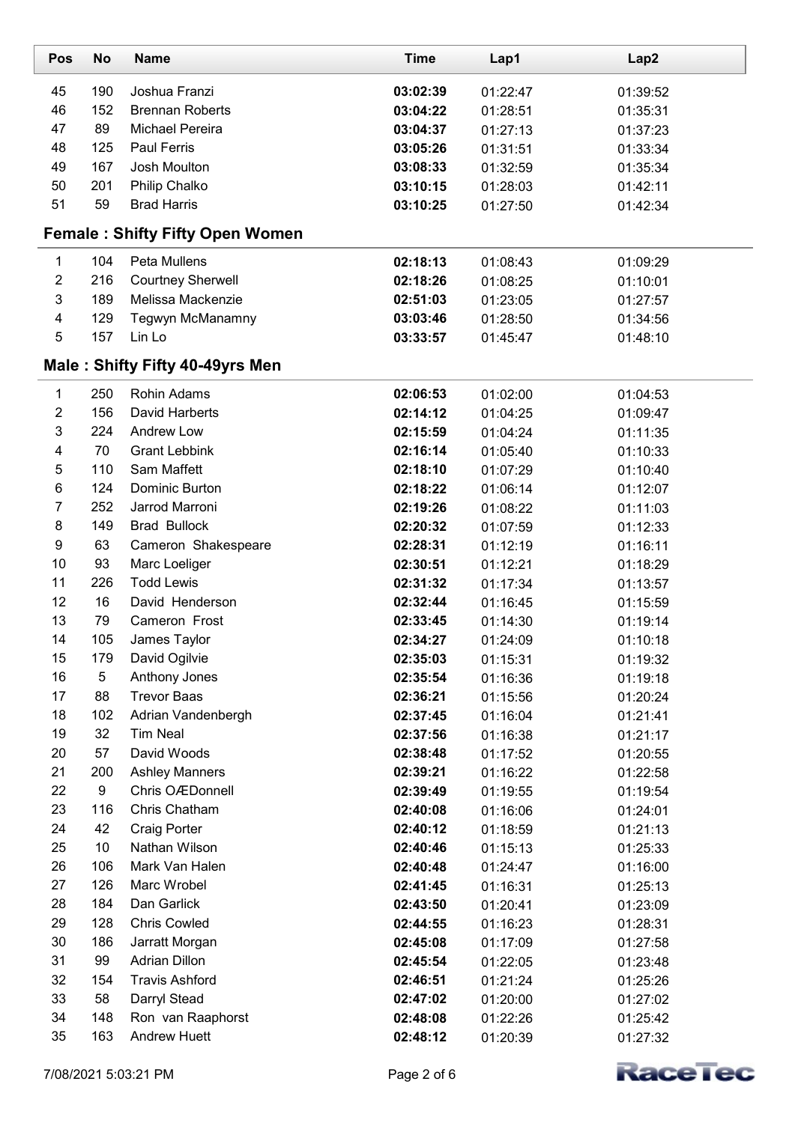| Pos                       | <b>No</b> | <b>Name</b>                            | <b>Time</b> | Lap1     | Lap2     |
|---------------------------|-----------|----------------------------------------|-------------|----------|----------|
| 45                        | 190       | Joshua Franzi                          | 03:02:39    | 01:22:47 | 01:39:52 |
| 46                        | 152       | <b>Brennan Roberts</b>                 | 03:04:22    | 01:28:51 | 01:35:31 |
| 47                        | 89        | <b>Michael Pereira</b>                 | 03:04:37    | 01:27:13 | 01:37:23 |
| 48                        | 125       | Paul Ferris                            | 03:05:26    | 01:31:51 | 01:33:34 |
| 49                        | 167       | Josh Moulton                           | 03:08:33    | 01:32:59 | 01:35:34 |
| 50                        | 201       | Philip Chalko                          | 03:10:15    | 01:28:03 | 01:42:11 |
| 51                        | 59        | <b>Brad Harris</b>                     | 03:10:25    | 01:27:50 | 01:42:34 |
|                           |           | <b>Female: Shifty Fifty Open Women</b> |             |          |          |
| $\mathbf{1}$              | 104       | Peta Mullens                           | 02:18:13    | 01:08:43 | 01:09:29 |
| $\overline{c}$            | 216       | <b>Courtney Sherwell</b>               | 02:18:26    | 01:08:25 | 01:10:01 |
| $\ensuremath{\mathsf{3}}$ | 189       | Melissa Mackenzie                      | 02:51:03    | 01:23:05 | 01:27:57 |
| $\overline{\mathbf{4}}$   | 129       | Tegwyn McManamny                       | 03:03:46    | 01:28:50 | 01:34:56 |
| $\sqrt{5}$                | 157       | Lin Lo                                 | 03:33:57    | 01:45:47 | 01:48:10 |
|                           |           | Male: Shifty Fifty 40-49yrs Men        |             |          |          |
| 1                         | 250       | <b>Rohin Adams</b>                     | 02:06:53    | 01:02:00 | 01:04:53 |
| $\overline{2}$            | 156       | David Harberts                         | 02:14:12    | 01:04:25 | 01:09:47 |
| $\sqrt{3}$                | 224       | Andrew Low                             | 02:15:59    | 01:04:24 | 01:11:35 |
| 4                         | 70        | <b>Grant Lebbink</b>                   | 02:16:14    | 01:05:40 | 01:10:33 |
| $\mathbf 5$               | 110       | Sam Maffett                            | 02:18:10    | 01:07:29 | 01:10:40 |
| $\,6\,$                   | 124       | Dominic Burton                         | 02:18:22    | 01:06:14 | 01:12:07 |
| $\overline{7}$            | 252       | Jarrod Marroni                         | 02:19:26    | 01:08:22 | 01:11:03 |
| $\bf 8$                   | 149       | <b>Brad Bullock</b>                    | 02:20:32    | 01:07:59 | 01:12:33 |
| $\boldsymbol{9}$          | 63        | Cameron Shakespeare                    | 02:28:31    | 01:12:19 | 01:16:11 |
| 10                        | 93        | Marc Loeliger                          | 02:30:51    | 01:12:21 | 01:18:29 |
| 11                        | 226       | <b>Todd Lewis</b>                      | 02:31:32    | 01:17:34 | 01:13:57 |
| 12                        | 16        | David Henderson                        | 02:32:44    | 01:16:45 | 01:15:59 |
| 13                        | 79        | Cameron Frost                          | 02:33:45    | 01:14:30 | 01:19:14 |
| 14                        | 105       | James Taylor                           | 02:34:27    | 01:24:09 | 01:10:18 |
| 15                        | 179       | David Ogilvie                          | 02:35:03    | 01:15:31 | 01:19:32 |
| 16                        | 5         | Anthony Jones                          | 02:35:54    | 01:16:36 | 01:19:18 |
| 17                        | 88        | <b>Trevor Baas</b>                     | 02:36:21    | 01:15:56 | 01:20:24 |
| 18                        | 102       | Adrian Vandenbergh                     | 02:37:45    | 01:16:04 | 01:21:41 |
| 19                        | 32        | <b>Tim Neal</b>                        | 02:37:56    | 01:16:38 | 01:21:17 |
| 20                        | 57        | David Woods                            | 02:38:48    | 01:17:52 | 01:20:55 |
| 21                        | 200       | <b>Ashley Manners</b>                  | 02:39:21    | 01:16:22 | 01:22:58 |
| 22                        | 9         | Chris OÆDonnell                        | 02:39:49    | 01:19:55 | 01:19:54 |
| 23                        | 116       | Chris Chatham                          | 02:40:08    | 01:16:06 | 01:24:01 |
| 24                        | 42        | <b>Craig Porter</b>                    | 02:40:12    | 01:18:59 | 01:21:13 |
| 25                        | 10        | Nathan Wilson                          | 02:40:46    | 01:15:13 | 01:25:33 |
| 26                        | 106       | Mark Van Halen                         | 02:40:48    | 01:24:47 | 01:16:00 |
| 27                        | 126       | Marc Wrobel                            | 02:41:45    | 01:16:31 | 01:25:13 |
| 28                        | 184       | Dan Garlick                            | 02:43:50    | 01:20:41 | 01:23:09 |
| 29                        | 128       | <b>Chris Cowled</b>                    | 02:44:55    | 01:16:23 | 01:28:31 |
| 30                        | 186       | Jarratt Morgan                         | 02:45:08    | 01:17:09 | 01:27:58 |
| 31                        | 99        | <b>Adrian Dillon</b>                   | 02:45:54    | 01:22:05 | 01:23:48 |
| 32                        | 154       | <b>Travis Ashford</b>                  | 02:46:51    | 01:21:24 | 01:25:26 |
| 33                        | 58        | Darryl Stead                           | 02:47:02    | 01:20:00 | 01:27:02 |
| 34                        | 148       | Ron van Raaphorst                      | 02:48:08    | 01:22:26 | 01:25:42 |
| 35                        | 163       | <b>Andrew Huett</b>                    | 02:48:12    | 01:20:39 | 01:27:32 |

L

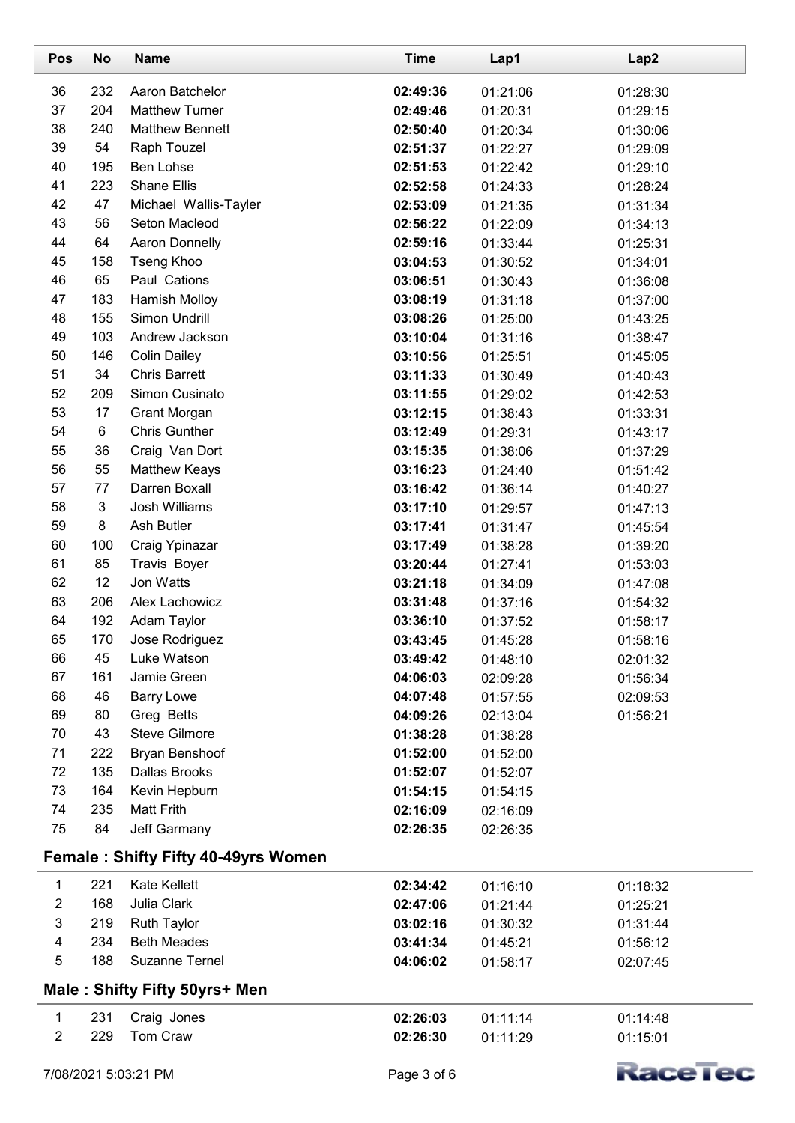| Pos                     | No             | <b>Name</b>                         | <b>Time</b> | Lap1     | Lap2            |
|-------------------------|----------------|-------------------------------------|-------------|----------|-----------------|
| 36                      | 232            | Aaron Batchelor                     | 02:49:36    | 01:21:06 | 01:28:30        |
| 37                      | 204            | <b>Matthew Turner</b>               | 02:49:46    | 01:20:31 | 01:29:15        |
| 38                      | 240            | <b>Matthew Bennett</b>              | 02:50:40    | 01:20:34 | 01:30:06        |
| 39                      | 54             | Raph Touzel                         | 02:51:37    | 01:22:27 | 01:29:09        |
| 40                      | 195            | Ben Lohse                           | 02:51:53    | 01:22:42 | 01:29:10        |
| 41                      | 223            | <b>Shane Ellis</b>                  | 02:52:58    | 01:24:33 | 01:28:24        |
| 42                      | 47             | Michael Wallis-Tayler               | 02:53:09    | 01:21:35 | 01:31:34        |
| 43                      | 56             | Seton Macleod                       | 02:56:22    | 01:22:09 | 01:34:13        |
| 44                      | 64             | <b>Aaron Donnelly</b>               | 02:59:16    | 01:33:44 | 01:25:31        |
| 45                      | 158            | <b>Tseng Khoo</b>                   | 03:04:53    | 01:30:52 | 01:34:01        |
| 46                      | 65             | Paul Cations                        | 03:06:51    | 01:30:43 | 01:36:08        |
| 47                      | 183            | Hamish Molloy                       | 03:08:19    | 01:31:18 | 01:37:00        |
| 48                      | 155            | Simon Undrill                       | 03:08:26    | 01:25:00 | 01:43:25        |
| 49                      | 103            | Andrew Jackson                      | 03:10:04    | 01:31:16 | 01:38:47        |
| 50                      | 146            | <b>Colin Dailey</b>                 | 03:10:56    | 01:25:51 | 01:45:05        |
| 51                      | 34             | <b>Chris Barrett</b>                | 03:11:33    | 01:30:49 | 01:40:43        |
| 52                      | 209            | Simon Cusinato                      | 03:11:55    | 01:29:02 | 01:42:53        |
| 53                      | 17             | <b>Grant Morgan</b>                 | 03:12:15    | 01:38:43 | 01:33:31        |
| 54                      | 6              | <b>Chris Gunther</b>                | 03:12:49    | 01:29:31 | 01:43:17        |
| 55                      | 36             | Craig Van Dort                      | 03:15:35    | 01:38:06 | 01:37:29        |
| 56                      | 55             | <b>Matthew Keays</b>                | 03:16:23    | 01:24:40 | 01:51:42        |
| 57                      | 77             | Darren Boxall                       | 03:16:42    | 01:36:14 | 01:40:27        |
| 58                      | $\mathfrak{S}$ | Josh Williams                       | 03:17:10    | 01:29:57 | 01:47:13        |
| 59                      | 8              | Ash Butler                          | 03:17:41    | 01:31:47 | 01:45:54        |
| 60                      | 100            | Craig Ypinazar                      | 03:17:49    | 01:38:28 | 01:39:20        |
| 61                      | 85             | Travis Boyer                        | 03:20:44    | 01:27:41 | 01:53:03        |
| 62                      | 12             | Jon Watts                           | 03:21:18    | 01:34:09 | 01:47:08        |
| 63                      | 206            | Alex Lachowicz                      | 03:31:48    | 01:37:16 | 01:54:32        |
| 64                      | 192            | Adam Taylor                         | 03:36:10    | 01:37:52 | 01:58:17        |
| 65                      | 170            | Jose Rodriguez                      | 03:43:45    | 01:45:28 | 01:58:16        |
| 66                      | 45             | Luke Watson                         | 03:49:42    | 01:48:10 | 02:01:32        |
| 67                      | 161            | Jamie Green                         | 04:06:03    | 02:09:28 | 01:56:34        |
| 68                      | 46             | <b>Barry Lowe</b>                   | 04:07:48    | 01:57:55 | 02:09:53        |
| 69                      | 80             | Greg Betts                          | 04:09:26    | 02:13:04 | 01:56:21        |
| 70                      | 43             | Steve Gilmore                       | 01:38:28    | 01:38:28 |                 |
| 71                      | 222            | <b>Bryan Benshoof</b>               | 01:52:00    | 01:52:00 |                 |
| 72                      | 135            | <b>Dallas Brooks</b>                | 01:52:07    | 01:52:07 |                 |
| 73                      | 164            | Kevin Hepburn                       | 01:54:15    | 01:54:15 |                 |
| 74                      | 235            | <b>Matt Frith</b>                   | 02:16:09    | 02:16:09 |                 |
| 75                      | 84             | Jeff Garmany                        | 02:26:35    | 02:26:35 |                 |
|                         |                | Female: Shifty Fifty 40-49yrs Women |             |          |                 |
| $\mathbf{1}$            | 221            | <b>Kate Kellett</b>                 | 02:34:42    | 01:16:10 | 01:18:32        |
| $\overline{c}$          | 168            | Julia Clark                         | 02:47:06    | 01:21:44 | 01:25:21        |
| $\mathsf 3$             | 219            | <b>Ruth Taylor</b>                  | 03:02:16    | 01:30:32 | 01:31:44        |
| $\overline{\mathbf{4}}$ | 234            | <b>Beth Meades</b>                  | 03:41:34    | 01:45:21 | 01:56:12        |
| 5                       | 188            | Suzanne Ternel                      | 04:06:02    | 01:58:17 | 02:07:45        |
|                         |                | Male: Shifty Fifty 50yrs+ Men       |             |          |                 |
| 1                       | 231            | Craig Jones                         | 02:26:03    | 01:11:14 | 01:14:48        |
| $\overline{2}$          | 229            | Tom Craw                            | 02:26:30    | 01:11:29 | 01:15:01        |
|                         |                |                                     |             |          |                 |
| 7/08/2021 5:03:21 PM    |                |                                     | Page 3 of 6 |          | <b>Kace Tec</b> |

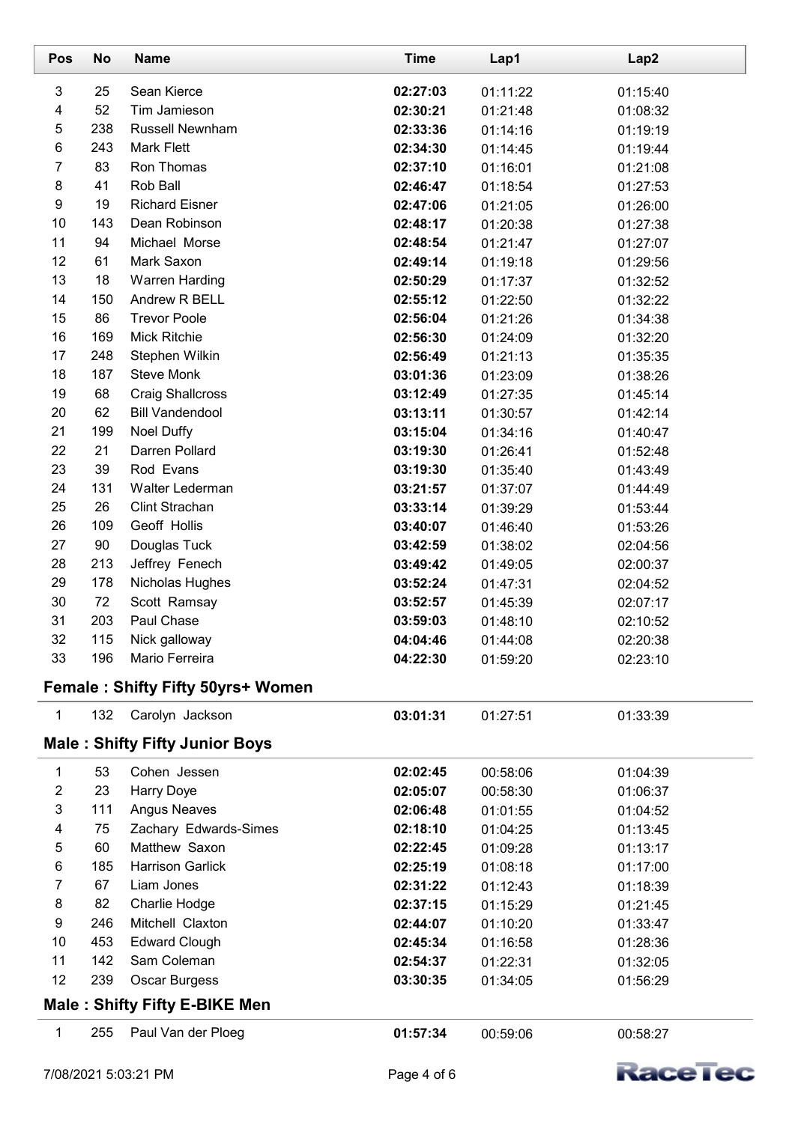| Pos                     | <b>No</b> | <b>Name</b>                           | <b>Time</b> | Lap1     | Lap2     |
|-------------------------|-----------|---------------------------------------|-------------|----------|----------|
| 3                       | 25        | Sean Kierce                           | 02:27:03    | 01:11:22 | 01:15:40 |
| $\overline{\mathbf{4}}$ | 52        | Tim Jamieson                          | 02:30:21    | 01:21:48 | 01:08:32 |
| $\mathbf 5$             | 238       | <b>Russell Newnham</b>                | 02:33:36    | 01:14:16 | 01:19:19 |
| 6                       | 243       | <b>Mark Flett</b>                     | 02:34:30    | 01:14:45 | 01:19:44 |
| $\overline{7}$          | 83        | Ron Thomas                            | 02:37:10    | 01:16:01 | 01:21:08 |
| $\bf 8$                 | 41        | Rob Ball                              | 02:46:47    | 01:18:54 | 01:27:53 |
| $\boldsymbol{9}$        | 19        | <b>Richard Eisner</b>                 | 02:47:06    | 01:21:05 | 01:26:00 |
| 10                      | 143       | Dean Robinson                         | 02:48:17    | 01:20:38 | 01:27:38 |
| 11                      | 94        | Michael Morse                         | 02:48:54    | 01:21:47 | 01:27:07 |
| 12                      | 61        | Mark Saxon                            | 02:49:14    | 01:19:18 | 01:29:56 |
| 13                      | 18        | <b>Warren Harding</b>                 | 02:50:29    | 01:17:37 | 01:32:52 |
| 14                      | 150       | Andrew R BELL                         | 02:55:12    | 01:22:50 | 01:32:22 |
| 15                      | 86        | <b>Trevor Poole</b>                   | 02:56:04    | 01:21:26 | 01:34:38 |
| 16                      | 169       | Mick Ritchie                          | 02:56:30    | 01:24:09 | 01:32:20 |
| 17                      | 248       | Stephen Wilkin                        | 02:56:49    | 01:21:13 | 01:35:35 |
| 18                      | 187       | <b>Steve Monk</b>                     | 03:01:36    | 01:23:09 | 01:38:26 |
| 19                      | 68        | <b>Craig Shallcross</b>               | 03:12:49    | 01:27:35 | 01:45:14 |
| 20                      | 62        | <b>Bill Vandendool</b>                | 03:13:11    | 01:30:57 | 01:42:14 |
| 21                      | 199       | Noel Duffy                            | 03:15:04    | 01:34:16 | 01:40:47 |
| 22                      | 21        | Darren Pollard                        | 03:19:30    | 01:26:41 | 01:52:48 |
| 23                      | 39        | Rod Evans                             | 03:19:30    | 01:35:40 | 01:43:49 |
| 24                      | 131       | Walter Lederman                       | 03:21:57    | 01:37:07 | 01:44:49 |
| 25                      | 26        | Clint Strachan                        | 03:33:14    | 01:39:29 | 01:53:44 |
| 26                      | 109       | Geoff Hollis                          | 03:40:07    | 01:46:40 | 01:53:26 |
| 27                      | 90        | Douglas Tuck                          | 03:42:59    | 01:38:02 | 02:04:56 |
| 28                      | 213       | Jeffrey Fenech                        | 03:49:42    | 01:49:05 | 02:00:37 |
| 29                      | 178       | Nicholas Hughes                       | 03:52:24    | 01:47:31 | 02:04:52 |
| 30                      | 72        | Scott Ramsay                          | 03:52:57    | 01:45:39 | 02:07:17 |
| 31                      | 203       | Paul Chase                            | 03:59:03    | 01:48:10 | 02:10:52 |
| 32                      | 115       | Nick galloway                         | 04:04:46    | 01:44:08 | 02:20:38 |
| 33                      | 196       | Mario Ferreira                        | 04:22:30    | 01:59:20 | 02:23:10 |
|                         |           | Female: Shifty Fifty 50yrs+ Women     |             |          |          |
| $\mathbf 1$             | 132       | Carolyn Jackson                       | 03:01:31    | 01:27:51 | 01:33:39 |
|                         |           | <b>Male: Shifty Fifty Junior Boys</b> |             |          |          |
| 1                       | 53        | Cohen Jessen                          | 02:02:45    | 00:58:06 | 01:04:39 |
| $\overline{2}$          | 23        | <b>Harry Doye</b>                     | 02:05:07    | 00:58:30 | 01:06:37 |
| $\mathsf 3$             | 111       | <b>Angus Neaves</b>                   | 02:06:48    | 01:01:55 | 01:04:52 |
| 4                       | 75        | Zachary Edwards-Simes                 | 02:18:10    | 01:04:25 | 01:13:45 |
| $\mathbf 5$             | 60        | Matthew Saxon                         | 02:22:45    | 01:09:28 | 01:13:17 |
| 6                       | 185       | <b>Harrison Garlick</b>               | 02:25:19    | 01:08:18 | 01:17:00 |
| $\overline{7}$          | 67        | Liam Jones                            | 02:31:22    | 01:12:43 | 01:18:39 |
| 8                       | 82        | Charlie Hodge                         | 02:37:15    | 01:15:29 | 01:21:45 |
| $\boldsymbol{9}$        | 246       | Mitchell Claxton                      | 02:44:07    | 01:10:20 | 01:33:47 |
| 10                      | 453       | <b>Edward Clough</b>                  | 02:45:34    | 01:16:58 | 01:28:36 |
| 11                      | 142       | Sam Coleman                           | 02:54:37    | 01:22:31 | 01:32:05 |
| 12                      | 239       | Oscar Burgess                         | 03:30:35    | 01:34:05 | 01:56:29 |
|                         |           | <b>Male: Shifty Fifty E-BIKE Men</b>  |             |          |          |
| 1                       | 255       | Paul Van der Ploeg                    | 01:57:34    | 00:59:06 | 00:58:27 |
|                         |           |                                       |             |          |          |

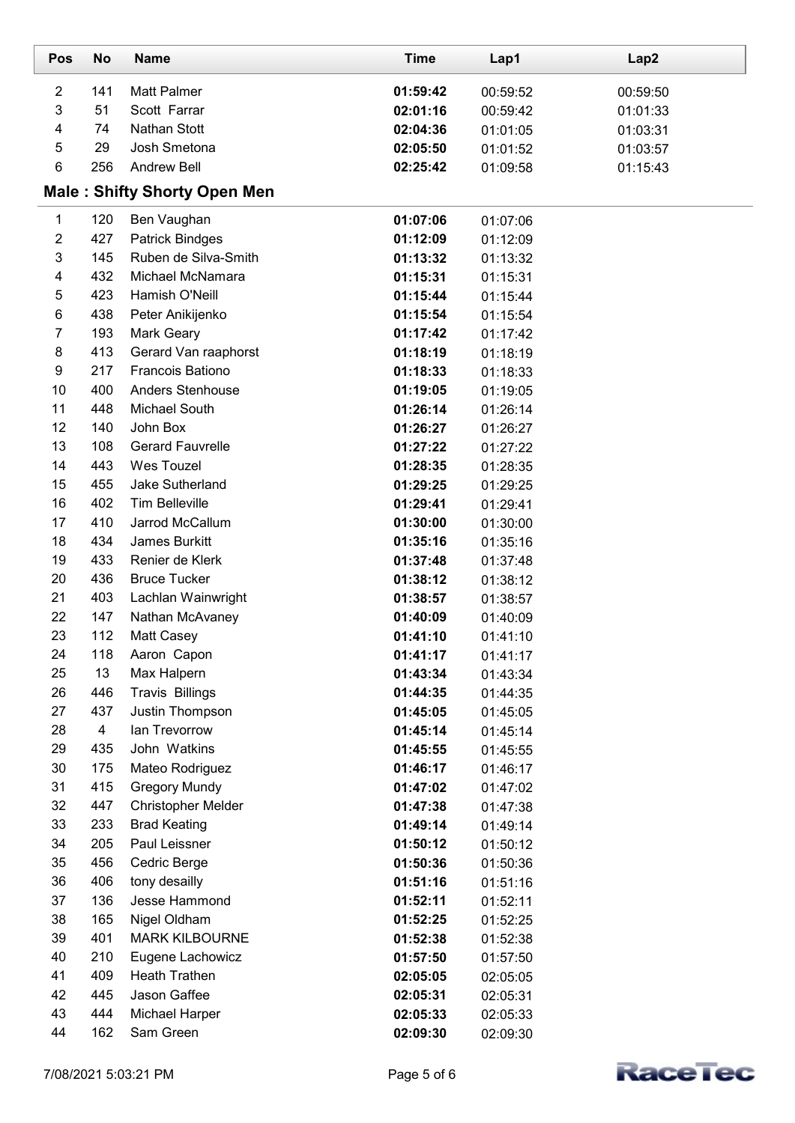| Pos            | <b>No</b>               | <b>Name</b>                         | <b>Time</b> | Lap1     | Lap2     |
|----------------|-------------------------|-------------------------------------|-------------|----------|----------|
| $\overline{2}$ | 141                     | <b>Matt Palmer</b>                  | 01:59:42    | 00:59:52 | 00:59:50 |
| 3              | 51                      | Scott Farrar                        | 02:01:16    | 00:59:42 | 01:01:33 |
| 4              | 74                      | Nathan Stott                        | 02:04:36    | 01:01:05 | 01:03:31 |
| 5              | 29                      | Josh Smetona                        | 02:05:50    | 01:01:52 | 01:03:57 |
| 6              | 256                     | <b>Andrew Bell</b>                  | 02:25:42    | 01:09:58 | 01:15:43 |
|                |                         | <b>Male: Shifty Shorty Open Men</b> |             |          |          |
| 1              | 120                     | Ben Vaughan                         | 01:07:06    | 01:07:06 |          |
| $\overline{2}$ | 427                     | <b>Patrick Bindges</b>              | 01:12:09    | 01:12:09 |          |
| 3              | 145                     | Ruben de Silva-Smith                | 01:13:32    | 01:13:32 |          |
| 4              | 432                     | Michael McNamara                    | 01:15:31    | 01:15:31 |          |
| 5              | 423                     | Hamish O'Neill                      | 01:15:44    | 01:15:44 |          |
| 6              | 438                     | Peter Anikijenko                    | 01:15:54    | 01:15:54 |          |
| $\overline{7}$ | 193                     | Mark Geary                          | 01:17:42    | 01:17:42 |          |
| 8              | 413                     | Gerard Van raaphorst                | 01:18:19    | 01:18:19 |          |
| 9              | 217                     | <b>Francois Bationo</b>             | 01:18:33    | 01:18:33 |          |
| 10             | 400                     | Anders Stenhouse                    | 01:19:05    | 01:19:05 |          |
| 11             | 448                     | Michael South                       | 01:26:14    | 01:26:14 |          |
| 12             | 140                     | John Box                            | 01:26:27    | 01:26:27 |          |
| 13             | 108                     | <b>Gerard Fauvrelle</b>             | 01:27:22    | 01:27:22 |          |
| 14             | 443                     | Wes Touzel                          | 01:28:35    | 01:28:35 |          |
| 15             | 455                     | Jake Sutherland                     | 01:29:25    | 01:29:25 |          |
| 16             | 402                     | <b>Tim Belleville</b>               | 01:29:41    | 01:29:41 |          |
| 17             | 410                     | Jarrod McCallum                     | 01:30:00    | 01:30:00 |          |
| 18             | 434                     | James Burkitt                       | 01:35:16    | 01:35:16 |          |
| 19             | 433                     | Renier de Klerk                     | 01:37:48    | 01:37:48 |          |
| 20             | 436                     | <b>Bruce Tucker</b>                 | 01:38:12    | 01:38:12 |          |
| 21             | 403                     | Lachlan Wainwright                  | 01:38:57    | 01:38:57 |          |
| 22             | 147                     | Nathan McAvaney                     | 01:40:09    | 01:40:09 |          |
| 23             | 112                     | Matt Casey                          | 01:41:10    | 01:41:10 |          |
| 24             | 118                     | Aaron Capon                         | 01:41:17    | 01:41:17 |          |
| 25             | 13                      | Max Halpern                         | 01:43:34    | 01:43:34 |          |
| 26             | 446                     | <b>Travis Billings</b>              | 01:44:35    | 01:44:35 |          |
| 27             | 437                     | Justin Thompson                     | 01:45:05    | 01:45:05 |          |
| 28             | $\overline{\mathbf{4}}$ | lan Trevorrow                       | 01:45:14    | 01:45:14 |          |
| 29             | 435                     | John Watkins                        | 01:45:55    | 01:45:55 |          |
| 30             | 175                     | Mateo Rodriguez                     | 01:46:17    | 01:46:17 |          |
| 31             | 415                     | <b>Gregory Mundy</b>                | 01:47:02    | 01:47:02 |          |
| 32             | 447                     | <b>Christopher Melder</b>           | 01:47:38    | 01:47:38 |          |
| 33             | 233                     | <b>Brad Keating</b>                 | 01:49:14    | 01:49:14 |          |
| 34             | 205                     | Paul Leissner                       | 01:50:12    | 01:50:12 |          |
| 35             | 456                     | Cedric Berge                        | 01:50:36    | 01:50:36 |          |
| 36             | 406                     | tony desailly                       | 01:51:16    | 01:51:16 |          |
| 37             | 136                     | Jesse Hammond                       | 01:52:11    | 01:52:11 |          |
| 38             | 165                     | Nigel Oldham                        | 01:52:25    | 01:52:25 |          |
| 39             | 401                     | <b>MARK KILBOURNE</b>               | 01:52:38    | 01:52:38 |          |
| 40             | 210                     | Eugene Lachowicz                    | 01:57:50    | 01:57:50 |          |
| 41             | 409                     | <b>Heath Trathen</b>                | 02:05:05    | 02:05:05 |          |
| 42             | 445                     | Jason Gaffee                        | 02:05:31    | 02:05:31 |          |
| 43             | 444                     | Michael Harper                      | 02:05:33    | 02:05:33 |          |
| 44             | 162                     | Sam Green                           | 02:09:30    | 02:09:30 |          |

L